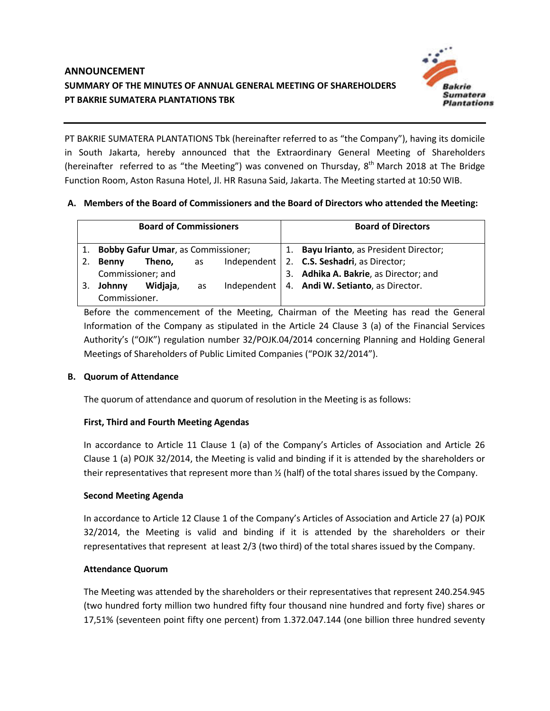

PT BAKRIE SUMATERA PLANTATIONS Tbk (hereinafter referred to as "the Company"), having its domicile in South Jakarta, hereby announced that the Extraordinary General Meeting of Shareholders (hereinafter referred to as "the Meeting") was convened on Thursday,  $8<sup>th</sup>$  March 2018 at The Bridge Function Room, Aston Rasuna Hotel, Jl. HR Rasuna Said, Jakarta. The Meeting started at 10:50 WIB.

### **A. Members of the Board of Commissioners and the Board of Directors who attended the Meeting:**

| <b>Board of Commissioners</b> |                                           |          |    |  | <b>Board of Directors</b>                       |
|-------------------------------|-------------------------------------------|----------|----|--|-------------------------------------------------|
| 1.                            | <b>Bobby Gafur Umar, as Commissioner;</b> |          |    |  | 1. Bayu Irianto, as President Director;         |
| 2.                            | <b>Benny</b>                              | Theno,   | as |  | Independent   2. C.S. Seshadri, as Director;    |
|                               | Commissioner; and                         |          |    |  | 3. Adhika A. Bakrie, as Director; and           |
|                               | Johnny                                    | Widjaja, | as |  | Independent   4. Andi W. Setianto, as Director. |
|                               | Commissioner.                             |          |    |  |                                                 |

Before the commencement of the Meeting, Chairman of the Meeting has read the General Information of the Company as stipulated in the Article 24 Clause 3 (a) of the Financial Services Authority's ("OJK") regulation number 32/POJK.04/2014 concerning Planning and Holding General Meetings of Shareholders of Public Limited Companies ("POJK 32/2014").

### **B. Quorum of Attendance**

The quorum of attendance and quorum of resolution in the Meeting is as follows:

# **First, Third and Fourth Meeting Agendas**

In accordance to Article 11 Clause 1 (a) of the Company's Articles of Association and Article 26 Clause 1 (a) POJK 32/2014, the Meeting is valid and binding if it is attended by the shareholders or their representatives that represent more than ½ (half) of the total shares issued by the Company.

### **Second Meeting Agenda**

In accordance to Article 12 Clause 1 of the Company's Articles of Association and Article 27 (a) POJK 32/2014, the Meeting is valid and binding if it is attended by the shareholders or their representatives that represent at least 2/3 (two third) of the total shares issued by the Company.

### **Attendance Quorum**

The Meeting was attended by the shareholders or their representatives that represent 240.254.945 (two hundred forty million two hundred fifty four thousand nine hundred and forty five) shares or 17,51% (seventeen point fifty one percent) from 1.372.047.144 (one billion three hundred seventy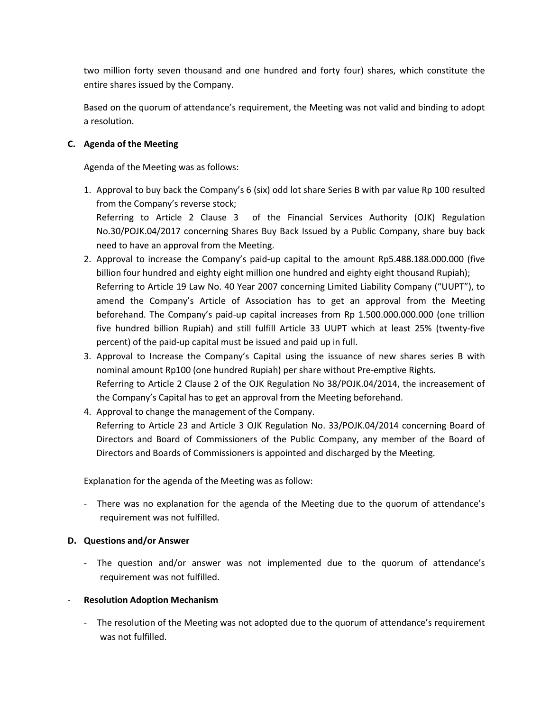two million forty seven thousand and one hundred and forty four) shares, which constitute the entire shares issued by the Company.

Based on the quorum of attendance's requirement, the Meeting was not valid and binding to adopt a resolution.

#### **C. Agenda of the Meeting**

Agenda of the Meeting was as follows:

- 1. Approval to buy back the Company's 6 (six) odd lot share Series B with par value Rp 100 resulted from the Company's reverse stock; Referring to Article 2 Clause 3 of the Financial Services Authority (OJK) Regulation No.30/POJK.04/2017 concerning Shares Buy Back Issued by a Public Company, share buy back need to have an approval from the Meeting.
- 2. Approval to increase the Company's paid-up capital to the amount Rp5.488.188.000.000 (five billion four hundred and eighty eight million one hundred and eighty eight thousand Rupiah); Referring to Article 19 Law No. 40 Year 2007 concerning Limited Liability Company ("UUPT"), to amend the Company's Article of Association has to get an approval from the Meeting beforehand. The Company's paid-up capital increases from Rp 1.500.000.000.000 (one trillion five hundred billion Rupiah) and still fulfill Article 33 UUPT which at least 25% (twenty-five percent) of the paid-up capital must be issued and paid up in full.
- 3. Approval to Increase the Company's Capital using the issuance of new shares series B with nominal amount Rp100 (one hundred Rupiah) per share without Pre-emptive Rights. Referring to Article 2 Clause 2 of the OJK Regulation No 38/POJK.04/2014, the increasement of the Company's Capital has to get an approval from the Meeting beforehand.
- 4. Approval to change the management of the Company.

Referring to Article 23 and Article 3 OJK Regulation No. 33/POJK.04/2014 concerning Board of Directors and Board of Commissioners of the Public Company, any member of the Board of Directors and Boards of Commissioners is appointed and discharged by the Meeting.

Explanation for the agenda of the Meeting was as follow:

- There was no explanation for the agenda of the Meeting due to the quorum of attendance's requirement was not fulfilled.

### **D. Questions and/or Answer**

- The question and/or answer was not implemented due to the quorum of attendance's requirement was not fulfilled.

### - **Resolution Adoption Mechanism**

- The resolution of the Meeting was not adopted due to the quorum of attendance's requirement was not fulfilled.